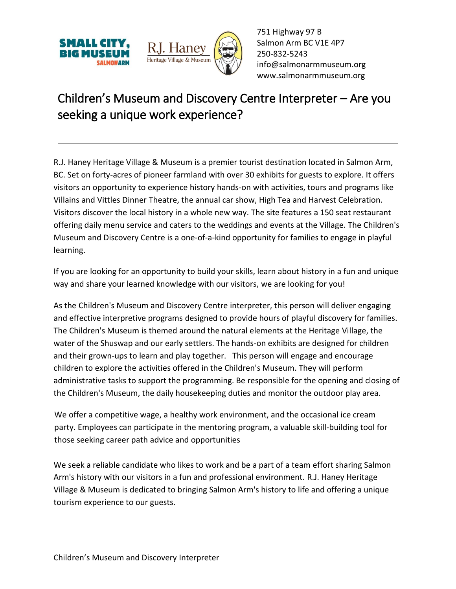



751 Highway 97 B Salmon Arm BC V1E 4P7 250-832-5243 [info@salmonarmmuseum.org](mailto:info@salmonarmmuseum.org) www.salmonarmmuseum.org

## Children's Museum and Discovery Centre Interpreter – Are you seeking a unique work experience?

R.J. Haney Heritage Village & Museum is a premier tourist destination located in Salmon Arm, BC. Set on forty-acres of pioneer farmland with over 30 exhibits for guests to explore. It offers visitors an opportunity to experience history hands-on with activities, tours and programs like Villains and Vittles Dinner Theatre, the annual car show, High Tea and Harvest Celebration. Visitors discover the local history in a whole new way. The site features a 150 seat restaurant offering daily menu service and caters to the weddings and events at the Village. The Children's Museum and Discovery Centre is a one-of-a-kind opportunity for families to engage in playful learning.

If you are looking for an opportunity to build your skills, learn about history in a fun and unique way and share your learned knowledge with our visitors, we are looking for you!

As the Children's Museum and Discovery Centre interpreter, this person will deliver engaging and effective interpretive programs designed to provide hours of playful discovery for families. The Children's Museum is themed around the natural elements at the Heritage Village, the water of the Shuswap and our early settlers. The hands-on exhibits are designed for children and their grown-ups to learn and play together. This person will engage and encourage children to explore the activities offered in the Children's Museum. They will perform administrative tasks to support the programming. Be responsible for the opening and closing of the Children's Museum, the daily housekeeping duties and monitor the outdoor play area.

We offer a competitive wage, a healthy work environment, and the occasional ice cream party. Employees can participate in the mentoring program, a valuable skill-building tool for those seeking career path advice and opportunities

We seek a reliable candidate who likes to work and be a part of a team effort sharing Salmon Arm's history with our visitors in a fun and professional environment. R.J. Haney Heritage Village & Museum is dedicated to bringing Salmon Arm's history to life and offering a unique tourism experience to our guests.